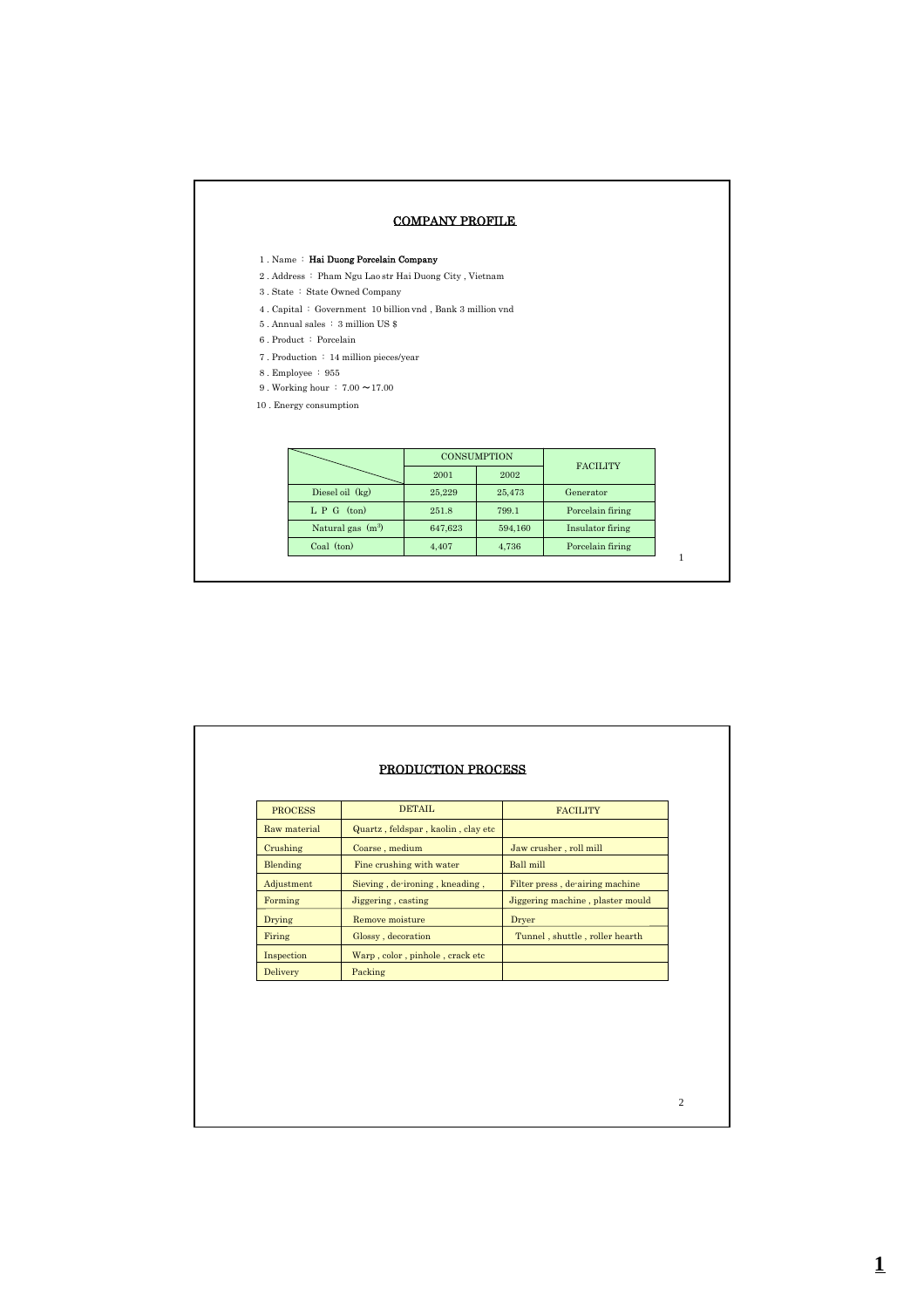## COMPANY PROFILE

- 1 . Name : Hai Duong Porcelain Company
- 2 . Address : Pham Ngu Lao str Hai Duong City , Vietnam
- 3 . State : State Owned Company
- 4 . Capital : Government 10 billion vnd , Bank 3 million vnd
- 5 . Annual sales : 3 million US \$
- 6 . Product : Porcelain
- 7 . Production : 14 million pieces/year
- 8 . Employee : 955
- 9 . Working hour : 7.00  $\sim\!17.00$
- 10 . Energy consumption

|                     |         | <b>CONSUMPTION</b> | <b>FACILITY</b>  |  |
|---------------------|---------|--------------------|------------------|--|
|                     | 2001    | 2002               |                  |  |
| Diesel oil (kg)     | 25.229  | 25,473             | Generator        |  |
| L P G (ton)         | 251.8   | 799.1              | Porcelain firing |  |
| Natural gas $(m^3)$ | 647,623 | 594,160            | Insulator firing |  |
| Coal (ton)          | 4.407   | 4,736              | Porcelain firing |  |

| <b>PROCESS</b>  | <b>DETAIL</b>                      | <b>FACILITY</b>                  |
|-----------------|------------------------------------|----------------------------------|
| Raw material    | Quartz, feldspar, kaolin, clay etc |                                  |
| Crushing        | Coarse, medium                     | Jaw crusher, roll mill           |
| Blending        | Fine crushing with water           | <b>Ball</b> mill                 |
| Adjustment      | Sieving, de-ironing, kneading,     | Filter press, de airing machine  |
| Forming         | Jiggering, casting                 | Jiggering machine, plaster mould |
| <b>Drying</b>   | Remove moisture                    | <b>Dryer</b>                     |
| Firing          | Glossy, decoration                 | Tunnel, shuttle, roller hearth   |
| Inspection      | Warp, color, pinhole, crack etc    |                                  |
| <b>Delivery</b> | Packing                            |                                  |

2

1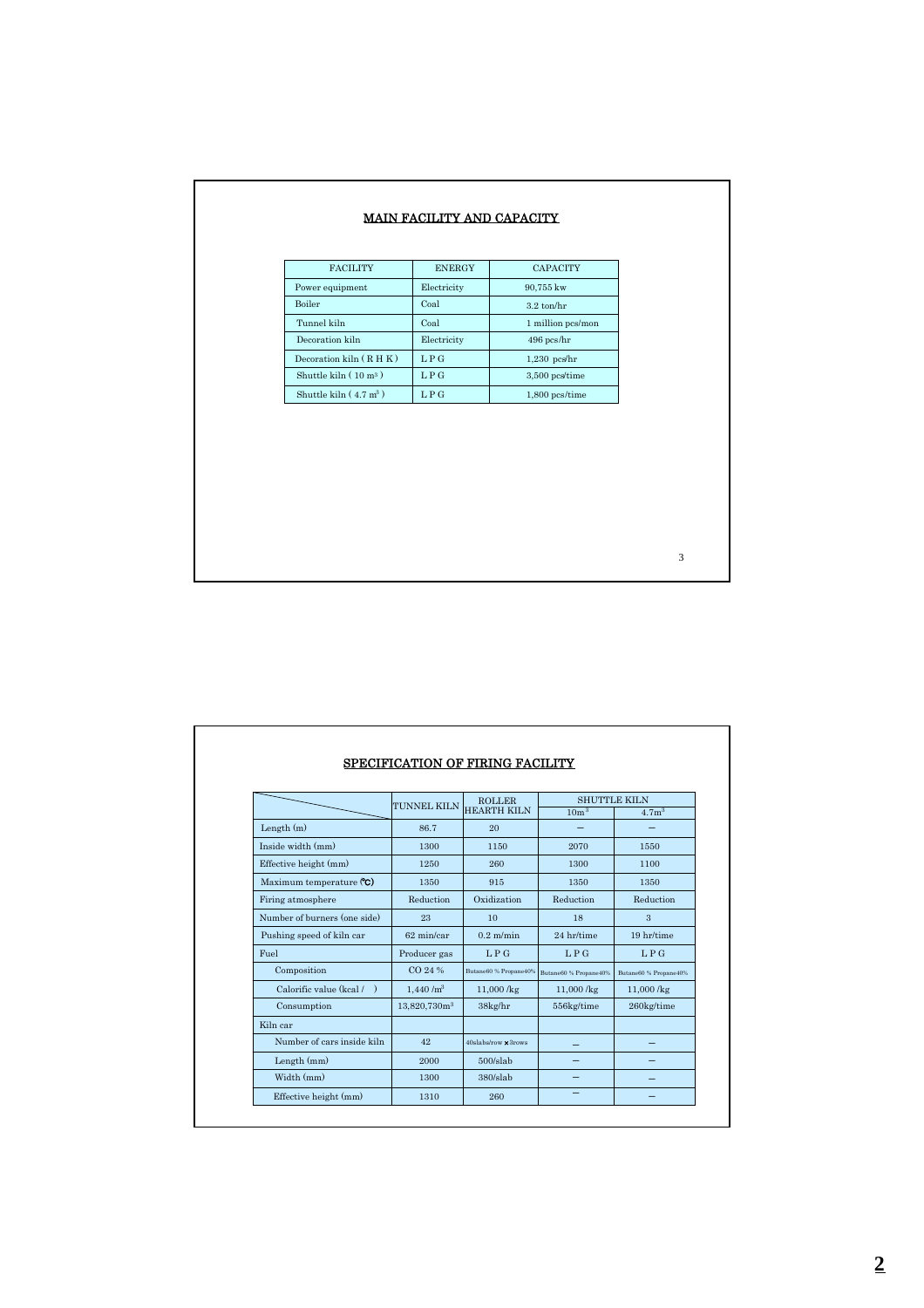| Power equipment<br>90,755 kw<br>Electricity<br>Boiler<br>Coal<br>$3.2 \text{ ton/hr}$<br>Tunnel kiln<br>Coal<br>Decoration kiln<br>Electricity<br>496 pcs/hr<br>Decoration kiln $(R H K)$<br>LPG<br>$1,230$ pcs/hr<br>Shuttle kiln $(10 \text{ m}^3)$<br>$\mathbf{L}$ P G<br>3,500 pcs/time<br>Shuttle kiln $(4.7 \text{ m}^3)$<br>$\mathbf{L}$ P G<br>$1,800$ pcs/time | <b>FACILITY</b> | <b>ENERGY</b> | CAPACITY                             |
|-------------------------------------------------------------------------------------------------------------------------------------------------------------------------------------------------------------------------------------------------------------------------------------------------------------------------------------------------------------------------|-----------------|---------------|--------------------------------------|
|                                                                                                                                                                                                                                                                                                                                                                         |                 |               |                                      |
|                                                                                                                                                                                                                                                                                                                                                                         |                 |               |                                      |
|                                                                                                                                                                                                                                                                                                                                                                         |                 |               | $1$ million $\operatorname{pcs/mon}$ |
|                                                                                                                                                                                                                                                                                                                                                                         |                 |               |                                      |
|                                                                                                                                                                                                                                                                                                                                                                         |                 |               |                                      |
|                                                                                                                                                                                                                                                                                                                                                                         |                 |               |                                      |
|                                                                                                                                                                                                                                                                                                                                                                         |                 |               |                                      |
|                                                                                                                                                                                                                                                                                                                                                                         |                 |               |                                      |

|                              |                          | SPECIFICATION OF FIRING FACILITY    |                       |                       |  |
|------------------------------|--------------------------|-------------------------------------|-----------------------|-----------------------|--|
|                              |                          |                                     | <b>SHUTTLE KILN</b>   |                       |  |
|                              | TUNNEL KILN              | <b>ROLLER</b><br><b>HEARTH KILN</b> | 10 <sup>m</sup>       | 4.7 <sup>m3</sup>     |  |
| Length (m)                   | 86.7                     | 20                                  |                       |                       |  |
| Inside width (mm)            | 1300                     | 1150                                | 2070                  | 1550                  |  |
| Effective height (mm)        | 1250                     | 260                                 | 1300                  | 1100                  |  |
| Maximum temperature (C)      | 1350                     | 915                                 | 1350                  | 1350                  |  |
| Firing atmosphere            | Reduction                | Oxidization                         | Reduction             | Reduction             |  |
| Number of burners (one side) | 23                       | 10                                  | 18                    | 3                     |  |
| Pushing speed of kiln car    | 62 min/car               | $0.2$ m/min                         | 24 hr/time            | 19 hr/time            |  |
| Fuel                         | Producer gas             | L P G                               | L P G                 | L P G                 |  |
| Composition                  | CO 24 %                  | Butane60 % Propane40%               | Butane60 % Propane40% | Butane60 % Propane40% |  |
| Calorific value (kcal / )    | $1.440/m^3$              | $11,000$ /kg                        | $11,000$ /kg          | $11,000$ /kg          |  |
| Consumption                  | 13,820,730m <sup>3</sup> | 38kg/hr                             | 556kg/time            | 260kg/time            |  |
| Kiln car                     |                          |                                     |                       |                       |  |
| Number of cars inside kiln   | 42                       | 40slabs/row X3rows                  |                       |                       |  |
| Length $(mm)$                | 2000                     | $500$ /slab                         |                       |                       |  |
| Width (mm)                   | 1300                     | $380/s$ lah                         |                       |                       |  |
| Effective height (mm)        | 1310                     | 260                                 |                       |                       |  |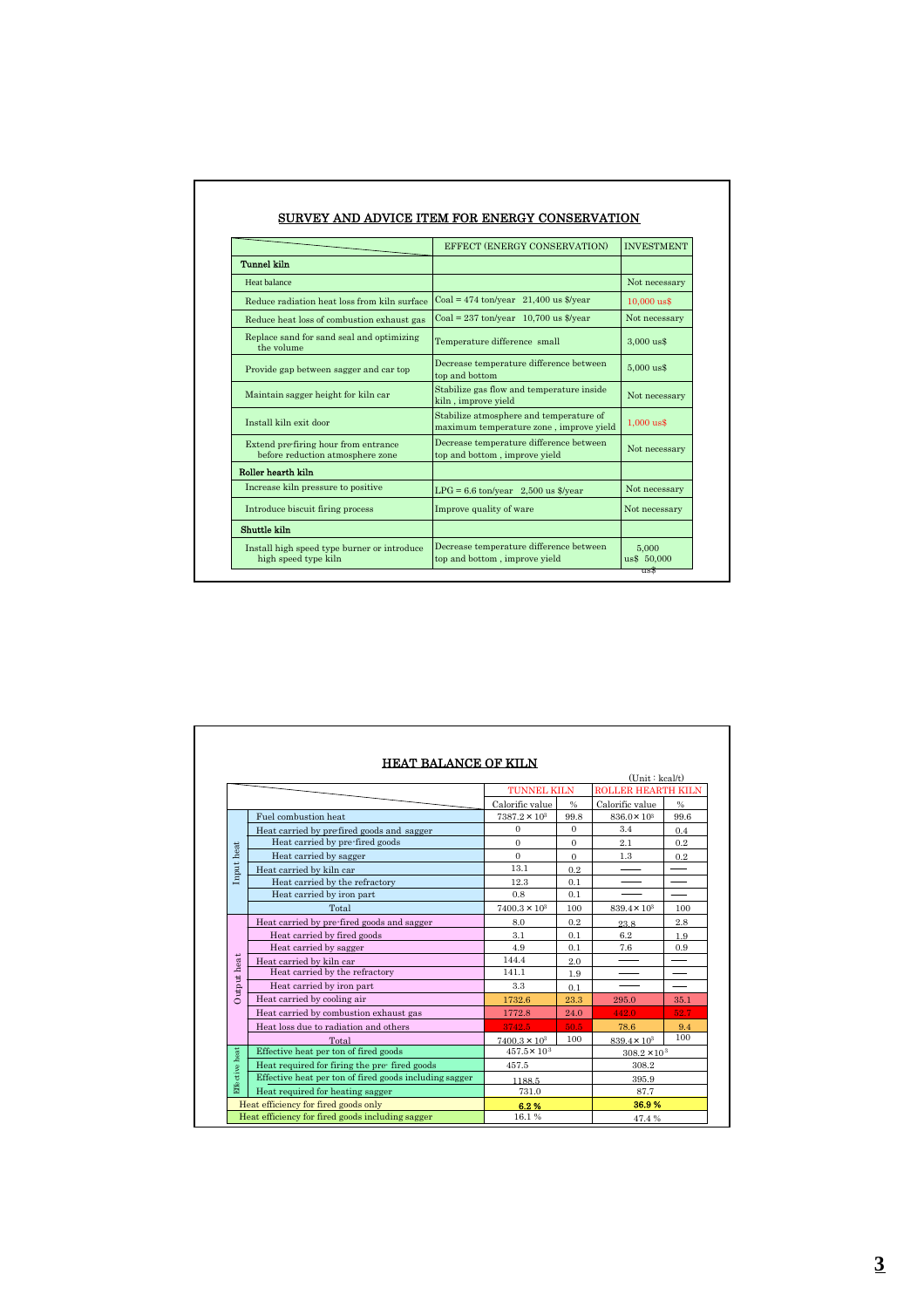|                                                                          | EFFECT (ENERGY CONSERVATION)                                                       | <b>INVESTMENT</b>    |
|--------------------------------------------------------------------------|------------------------------------------------------------------------------------|----------------------|
| <b>Tunnel</b> kiln                                                       |                                                                                    |                      |
| Heat balance                                                             |                                                                                    | Not necessary        |
| Reduce radiation heat loss from kiln surface                             | $Coal = 474$ ton/year 21,400 us \$/year                                            | $10.000$ us\$        |
| Reduce heat loss of combustion exhaust gas                               | $Coal = 237 \text{ ton/year}$ 10,700 us \$/year                                    | Not necessary        |
| Replace sand for sand seal and optimizing<br>the volume                  | Temperature difference small                                                       | $3.000$ us\$         |
| Provide gap between sagger and car top                                   | Decrease temperature difference between<br>top and bottom                          | $5.000$ us\$         |
| Maintain sagger height for kiln car                                      | Stabilize gas flow and temperature inside<br>kiln, improve yield                   | Not necessary        |
| Install kiln exit door                                                   | Stabilize atmosphere and temperature of<br>maximum temperature zone, improve yield | $1.000$ us\$         |
| Extend pre-firing hour from entrance<br>before reduction atmosphere zone | Decrease temperature difference between<br>top and bottom, improve yield           | Not necessary        |
| Roller hearth kiln                                                       |                                                                                    |                      |
| Increase kiln pressure to positive                                       | $LPG = 6.6$ ton/year 2,500 us \$/year                                              | Not necessary        |
| Introduce biscuit firing process                                         | Improve quality of ware                                                            | Not necessary        |
| Shuttle kiln                                                             |                                                                                    |                      |
| Install high speed type burner or introduce<br>high speed type kiln      | Decrease temperature difference between<br>top and bottom, improve yield           | 5,000<br>us\$ 50,000 |

|                      |                                                        |                       |               | (Unit : kcal/t)           |               |
|----------------------|--------------------------------------------------------|-----------------------|---------------|---------------------------|---------------|
|                      |                                                        | <b>TUNNEL KILN</b>    |               | <b>ROLLER HEARTH KILN</b> |               |
|                      |                                                        | Calorific value       | $\frac{0}{0}$ | Calorific value           | $\frac{0}{0}$ |
|                      | Fuel combustion heat                                   | $7387.2 \times 10^3$  | 99.8          | 836.0×10 <sup>3</sup>     | 99.6          |
|                      | Heat carried by prefired goods and sagger              | $\Omega$              | $\Omega$      | 3.4                       | 0.4           |
|                      | Heat carried by pre-fired goods                        | $\Omega$              | $\Omega$      | 2.1                       | 0.2           |
|                      | Heat carried by sagger                                 | $\theta$              | $\Omega$      | 1.3                       | 0.2           |
| Input heat           | Heat carried by kiln car                               | 13.1                  | 0.2           |                           |               |
|                      | Heat carried by the refractory                         | 12.3                  | 0.1           |                           |               |
|                      | Heat carried by iron part                              | 0.8                   | 0.1           |                           |               |
|                      | Total                                                  | $7400.3 \times 10^3$  | 100           | $839.4 \times 10^3$       | 100           |
|                      | Heat carried by pre-fired goods and sagger             | 8.0                   | 0.2           | 23.8                      | 2.8           |
|                      | Heat carried by fired goods                            | 3.1                   | 0.1           | 6.2                       | 1.9           |
|                      | Heat carried by sagger                                 | 4.9                   | 0.1           | 7.6                       | 0.9           |
|                      | Heat carried by kiln car                               | 144.4                 | 2.0           |                           |               |
|                      | Heat carried by the refractory                         | 141.1                 | 1.9           |                           |               |
| Output heat          | Heat carried by iron part                              | 3.3                   | 0.1           |                           |               |
|                      | Heat carried by cooling air                            | 1732.6                | 23.3          | 295.0                     | 35.1          |
|                      | Heat carried by combustion exhaust gas                 | 1772.8                | 24.0          | 442.0                     | 52.7          |
|                      | Heat loss due to radiation and others                  | 3742.5                | 50.5          | 78.6                      | 9.4           |
|                      | Total                                                  | $7400.3 \times 10^3$  | 100           | $839.4 \times 10^3$       | 100           |
|                      | Effective heat per ton of fired goods                  | $457.5 \times 10^{3}$ |               | $308.2 \times 10^3$       |               |
|                      | Heat required for firing the pre-fired goods           | 457.5                 |               | 308.2                     |               |
| <b>Trective</b> heat | Effective heat per ton of fired goods including sagger | 1188.5                |               | 395.9                     |               |
|                      | Heat required for heating sagger                       | 731.0                 |               | 87.7                      |               |
|                      | Heat efficiency for fired goods only                   | 6.2%                  |               | 36.9%                     |               |
|                      | Heat efficiency for fired goods including sagger       | 16.1%                 |               | 47.4%                     |               |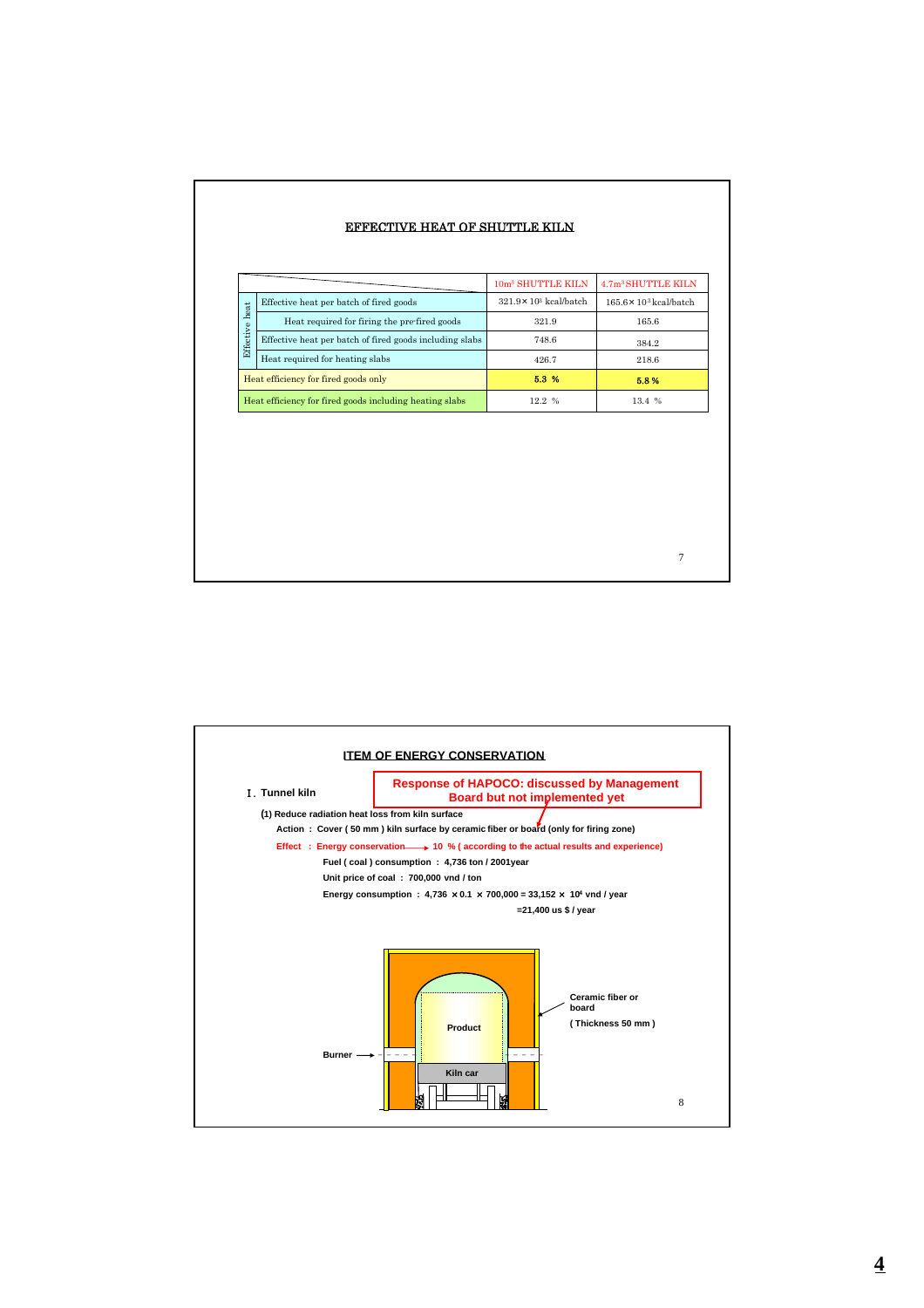| <b>EFFECTIVE HEAT OF SHUTTLE KILN</b> |  |  |  |  |  |
|---------------------------------------|--|--|--|--|--|
|---------------------------------------|--|--|--|--|--|

|                  |                                                         | 10m <sup>3</sup> SHUTTLE KILN  | 4.7m <sup>3</sup> SHUTTLE KILN |
|------------------|---------------------------------------------------------|--------------------------------|--------------------------------|
| $\ddot{a}$       | Effective heat per batch of fired goods                 | $321.9 \times 10^3$ kcal/batch | $165.6 \times 10^3$ kcal/batch |
| Le               | Heat required for firing the pre-fired goods            | 321.9                          | 165.6                          |
| <b>Effective</b> | Effective heat per batch of fired goods including slabs | 748.6                          | 384.2                          |
|                  | Heat required for heating slabs                         | 426.7                          | 218.6                          |
|                  | Heat efficiency for fired goods only                    | 5.3 %                          | 5.8%                           |
|                  | Heat efficiency for fired goods including heating slabs | 12.2 %                         | 13.4%                          |

7

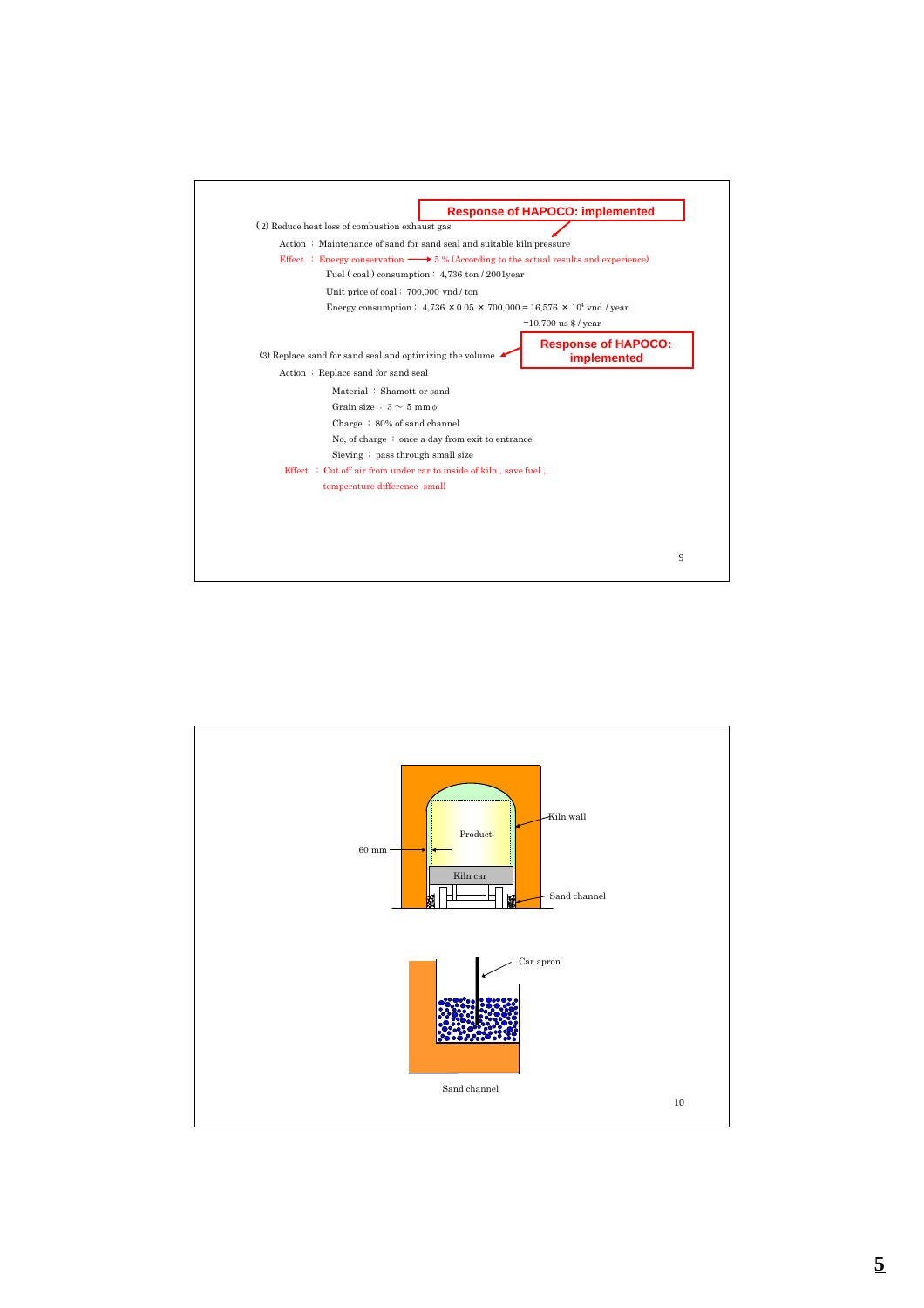

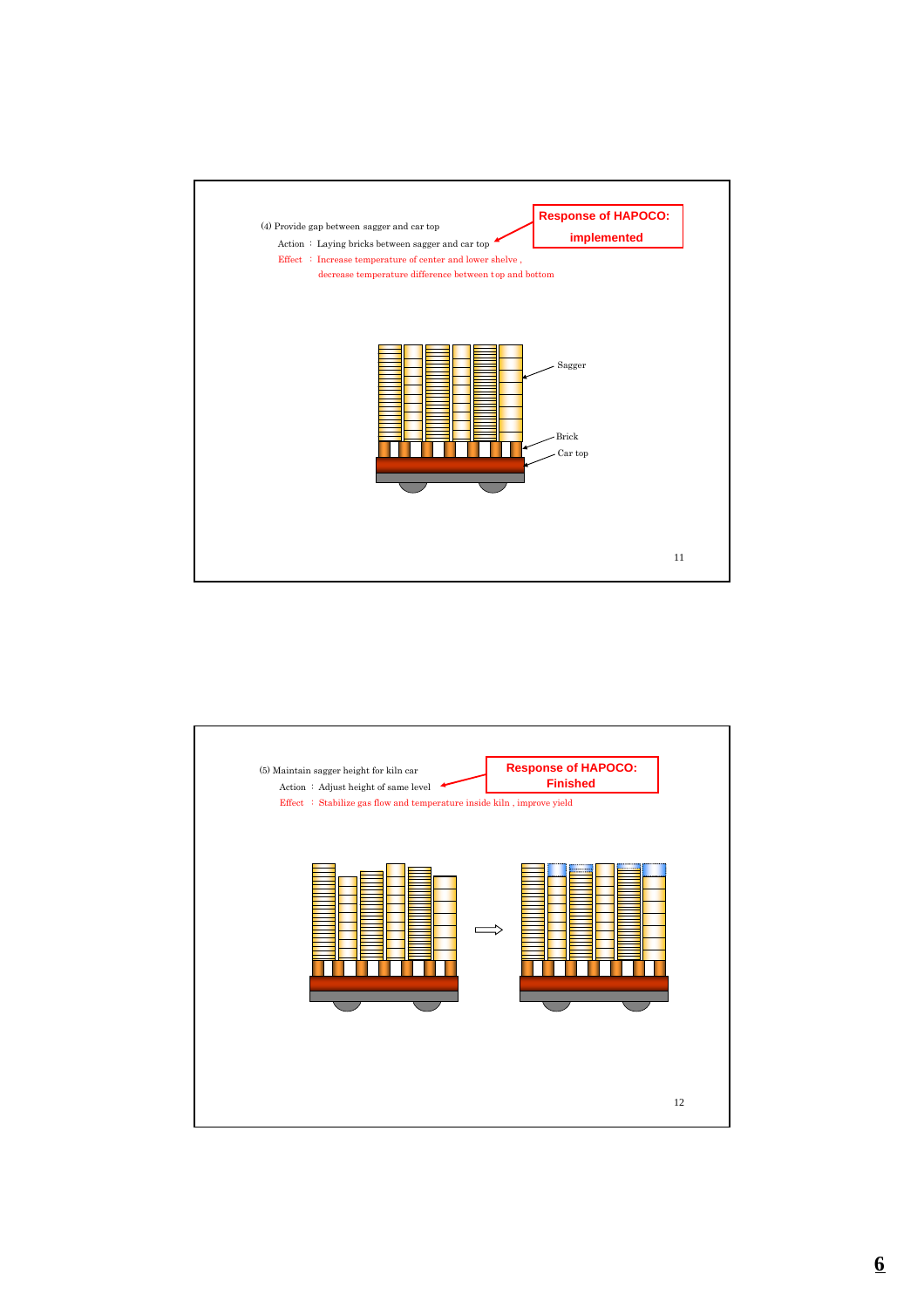

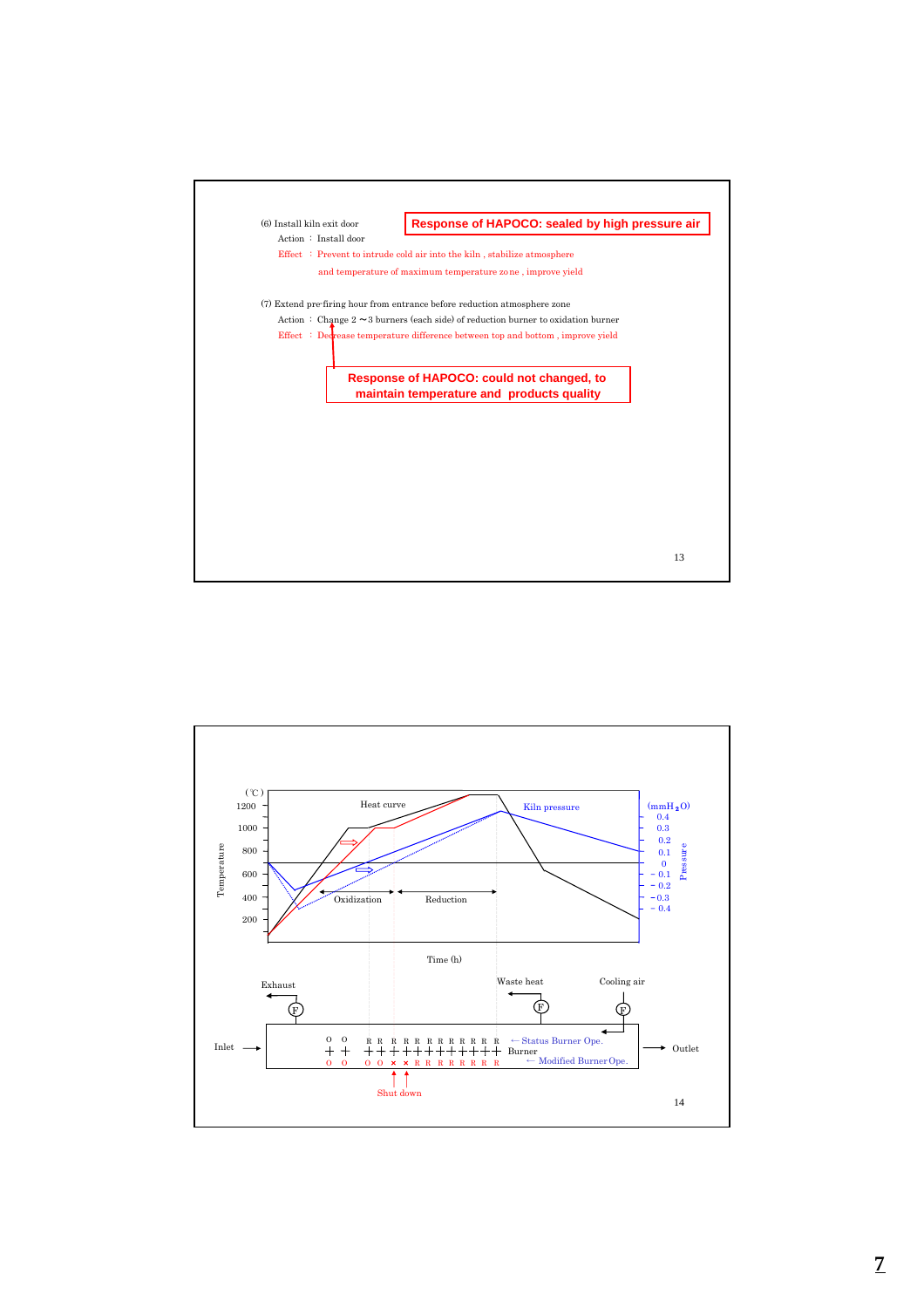

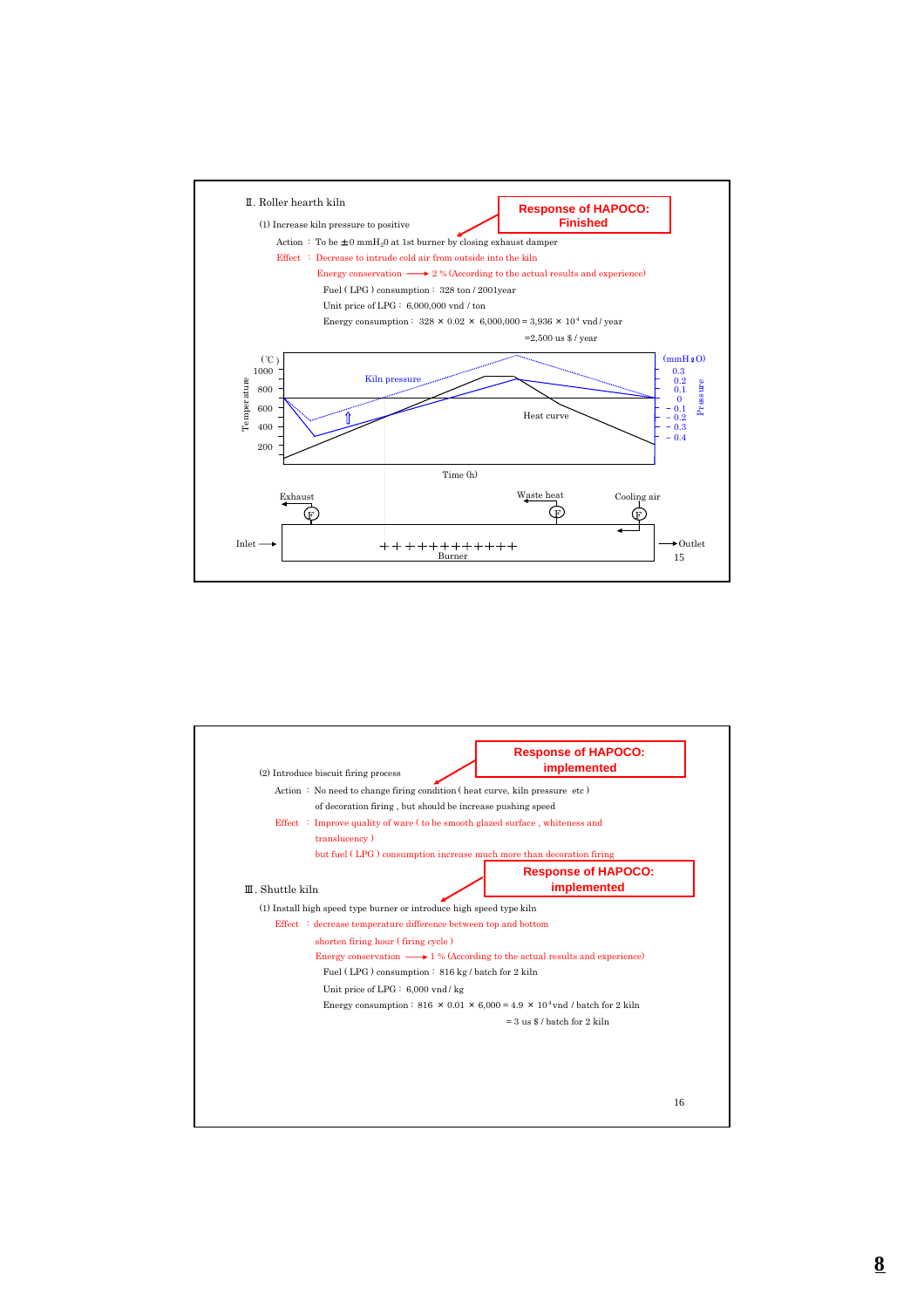